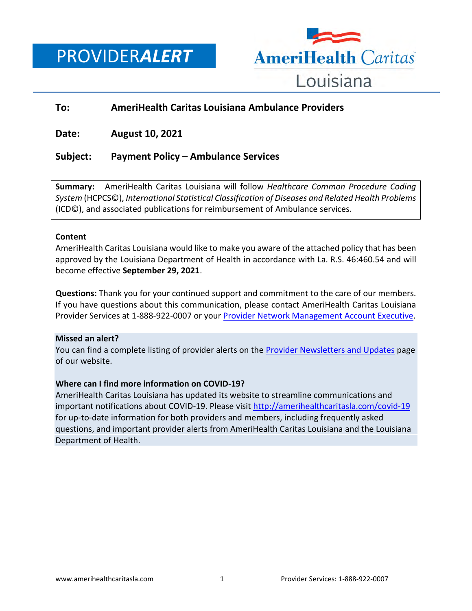PROVIDER*ALERT*



## **To: AmeriHealth Caritas Louisiana Ambulance Providers**

**Date: August 10, 2021**

## **Subject: Payment Policy – Ambulance Services**

**Summary:** AmeriHealth Caritas Louisiana will follow *Healthcare Common Procedure Coding System* (HCPCS©), *International Statistical Classification of Diseases and Related Health Problems* (ICD©), and associated publications for reimbursement of Ambulance services.

#### **Content**

AmeriHealth Caritas Louisiana would like to make you aware of the attached policy that has been approved by the Louisiana Department of Health in accordance with La. R.S. 46:460.54 and will become effective **September 29, 2021**.

**Questions:** Thank you for your continued support and commitment to the care of our members. If you have questions about this communication, please contact AmeriHealth Caritas Louisiana Provider Services at 1-888-922-0007 or you[r Provider Network Management Account Executive.](http://www.amerihealthcaritasla.com/pdf/provider/account-executives.pdf)

#### **Missed an alert?**

You can find a complete listing of provider alerts on the **Provider Newsletters and Updates** page of our website.

#### **Where can I find more information on COVID-19?**

AmeriHealth Caritas Louisiana has updated its website to streamline communications and important notifications about COVID-19. Please visit<http://amerihealthcaritasla.com/covid-19> for up-to-date information for both providers and members, including frequently asked questions, and important provider alerts from AmeriHealth Caritas Louisiana and the Louisiana Department of Health.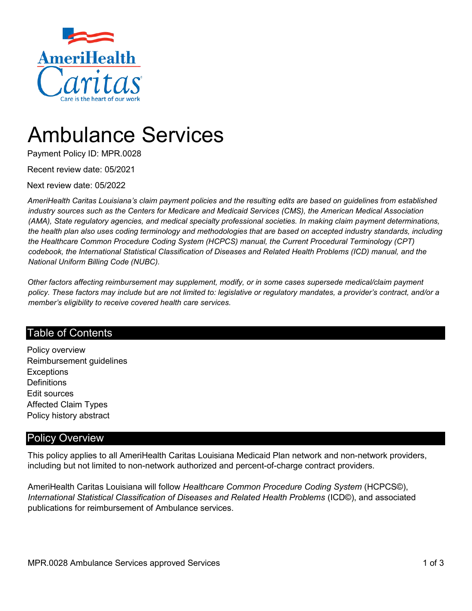

# Ambulance Services

Payment Policy ID: MPR.0028

Recent review date: 05/2021

Next review date: 05/2022

*AmeriHealth Caritas Louisiana's claim payment policies and the resulting edits are based on guidelines from established industry sources such as the Centers for Medicare and Medicaid Services (CMS), the American Medical Association (AMA), State regulatory agencies, and medical specialty professional societies. In making claim payment determinations, the health plan also uses coding terminology and methodologies that are based on accepted industry standards, including the Healthcare Common Procedure Coding System (HCPCS) manual, the Current Procedural Terminology (CPT) codebook, the International Statistical Classification of Diseases and Related Health Problems (ICD) manual, and the National Uniform Billing Code (NUBC).*

*Other factors affecting reimbursement may supplement, modify, or in some cases supersede medical/claim payment policy. These factors may include but are not limited to: legislative or regulatory mandates, a provider's contract, and/or a member's eligibility to receive covered health care services.*

## Table of Contents

Policy overview Reimbursement guidelines **Exceptions Definitions** Edit sources Affected Claim Types Policy history abstract

## Policy Overview

This policy applies to all AmeriHealth Caritas Louisiana Medicaid Plan network and non-network providers, including but not limited to non-network authorized and percent-of-charge contract providers.

AmeriHealth Caritas Louisiana will follow *Healthcare Common Procedure Coding System* (HCPCS©), *International Statistical Classification of Diseases and Related Health Problems* (ICD©), and associated publications for reimbursement of Ambulance services.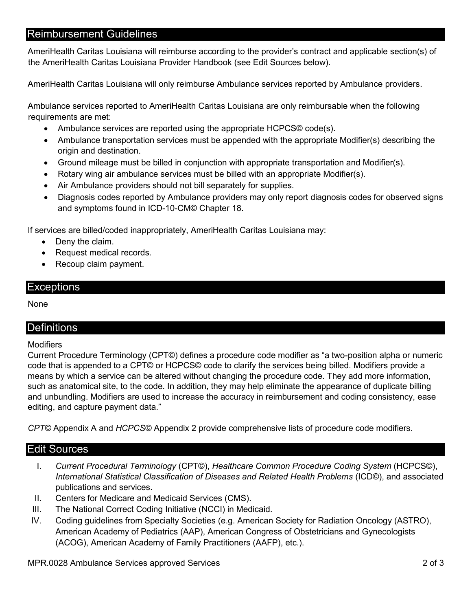## Reimbursement Guidelines

AmeriHealth Caritas Louisiana will reimburse according to the provider's contract and applicable section(s) of the AmeriHealth Caritas Louisiana Provider Handbook (see Edit Sources below).

AmeriHealth Caritas Louisiana will only reimburse Ambulance services reported by Ambulance providers.

Ambulance services reported to AmeriHealth Caritas Louisiana are only reimbursable when the following requirements are met:

- Ambulance services are reported using the appropriate HCPCS© code(s).
- Ambulance transportation services must be appended with the appropriate Modifier(s) describing the origin and destination.
- Ground mileage must be billed in conjunction with appropriate transportation and Modifier(s).
- Rotary wing air ambulance services must be billed with an appropriate Modifier(s).
- Air Ambulance providers should not bill separately for supplies.
- Diagnosis codes reported by Ambulance providers may only report diagnosis codes for observed signs and symptoms found in ICD-10-CM© Chapter 18.

If services are billed/coded inappropriately, AmeriHealth Caritas Louisiana may:

- Deny the claim.
- Request medical records.
- Recoup claim payment.

#### **Exceptions**

None

### **Definitions**

#### Modifiers

Current Procedure Terminology (CPT©) defines a procedure code modifier as "a two-position alpha or numeric code that is appended to a CPT© or HCPCS© code to clarify the services being billed. Modifiers provide a means by which a service can be altered without changing the procedure code. They add more information, such as anatomical site, to the code. In addition, they may help eliminate the appearance of duplicate billing and unbundling. Modifiers are used to increase the accuracy in reimbursement and coding consistency, ease editing, and capture payment data."

*CPT©* Appendix A and *HCPCS©* Appendix 2 provide comprehensive lists of procedure code modifiers.

#### Edit Sources

- I. *Current Procedural Terminology* (CPT©), *Healthcare Common Procedure Coding System* (HCPCS©), *International Statistical Classification of Diseases and Related Health Problems* (ICD©), and associated publications and services.
- II. Centers for Medicare and Medicaid Services (CMS).
- III. The National Correct Coding Initiative (NCCI) in Medicaid.
- IV. Coding guidelines from Specialty Societies (e.g. American Society for Radiation Oncology (ASTRO), American Academy of Pediatrics (AAP), American Congress of Obstetricians and Gynecologists (ACOG), American Academy of Family Practitioners (AAFP), etc.).

MPR.0028 Ambulance Services approved Services 2 of 3